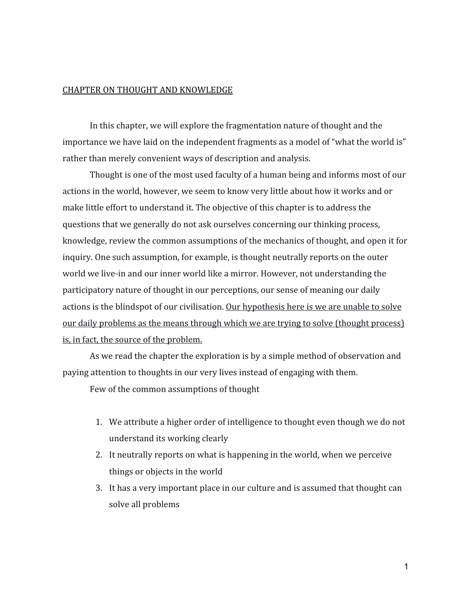## CHAPTER ON THOUGHT AND KNOWLEDGE

In this chapter, we will explore the fragmentation nature of thought and the importance we have laid on the independent fragments as a model of "what the world is" rather than merely convenient ways of description and analysis.

Thought is one of the most used faculty of a human being and informs most of our actions in the world, however, we seem to know very little about how it works and or make little effort to understand it. The objective of this chapter is to address the questions that we generally do not ask ourselves concerning our thinking process, knowledge, review the common assumptions of the mechanics of thought, and open it for inquiry. One such assumption, for example, is thought neutrally reports on the outer world we live-in and our inner world like a mirror. However, not understanding the participatory nature of thought in our perceptions, our sense of meaning our daily actions is the blindspot of our civilisation. Our hypothesis here is we are unable to solve our daily problems as the means through which we are trying to solve (thought process) is, in fact, the source of the problem.

As we read the chapter the exploration is by a simple method of observation and paying attention to thoughts in our very lives instead of engaging with them.

Few of the common assumptions of thought

- 1. We attribute a higher order of intelligence to thought even though we do not understand its working clearly
- 2. It neutrally reports on what is happening in the world, when we perceive things or objects in the world
- 3. It has a very important place in our culture and is assumed that thought can solve all problems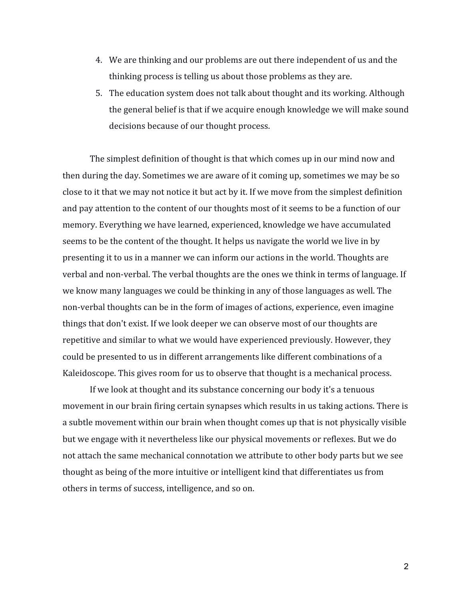- 4. We are thinking and our problems are out there independent of us and the thinking process is telling us about those problems as they are.
- 5. The education system does not talk about thought and its working. Although the general belief is that if we acquire enough knowledge we will make sound decisions because of our thought process.

The simplest definition of thought is that which comes up in our mind now and then during the day. Sometimes we are aware of it coming up, sometimes we may be so close to it that we may not notice it but act by it. If we move from the simplest definition and pay attention to the content of our thoughts most of it seems to be a function of our memory. Everything we have learned, experienced, knowledge we have accumulated seems to be the content of the thought. It helps us navigate the world we live in by presenting it to us in a manner we can inform our actions in the world. Thoughts are verbal and non-verbal. The verbal thoughts are the ones we think in terms of language. If we know many languages we could be thinking in any of those languages as well. The non-verbal thoughts can be in the form of images of actions, experience, even imagine things that don't exist. If we look deeper we can observe most of our thoughts are repetitive and similar to what we would have experienced previously. However, they could be presented to us in different arrangements like different combinations of a Kaleidoscope. This gives room for us to observe that thought is a mechanical process.

If we look at thought and its substance concerning our body it's a tenuous movement in our brain firing certain synapses which results in us taking actions. There is a subtle movement within our brain when thought comes up that is not physically visible but we engage with it nevertheless like our physical movements or reflexes. But we do not attach the same mechanical connotation we attribute to other body parts but we see thought as being of the more intuitive or intelligent kind that differentiates us from others in terms of success, intelligence, and so on.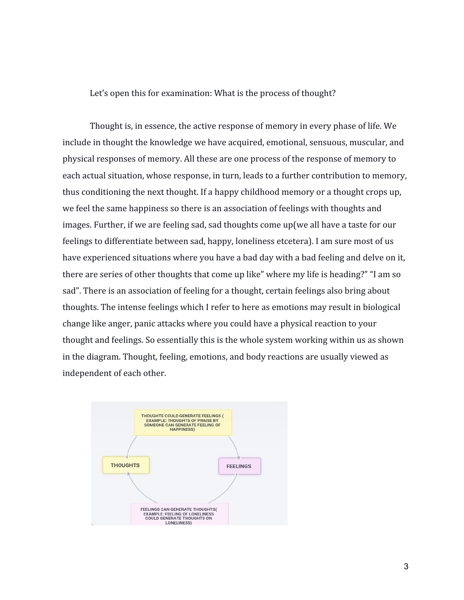Let's open this for examination: What is the process of thought?

Thought is, in essence, the active response of memory in every phase of life. We include in thought the knowledge we have acquired, emotional, sensuous, muscular, and physical responses of memory. All these are one process of the response of memory to each actual situation, whose response, in turn, leads to a further contribution to memory, thus conditioning the next thought. If a happy childhood memory or a thought crops up, we feel the same happiness so there is an association of feelings with thoughts and images. Further, if we are feeling sad, sad thoughts come up(we all have a taste for our feelings to differentiate between sad, happy, loneliness etcetera). I am sure most of us have experienced situations where you have a bad day with a bad feeling and delve on it, there are series of other thoughts that come up like" where my life is heading?" "I am so sad". There is an association of feeling for a thought, certain feelings also bring about thoughts. The intense feelings which I refer to here as emotions may result in biological change like anger, panic attacks where you could have a physical reaction to your thought and feelings. So essentially this is the whole system working within us as shown in the diagram. Thought, feeling, emotions, and body reactions are usually viewed as independent of each other.

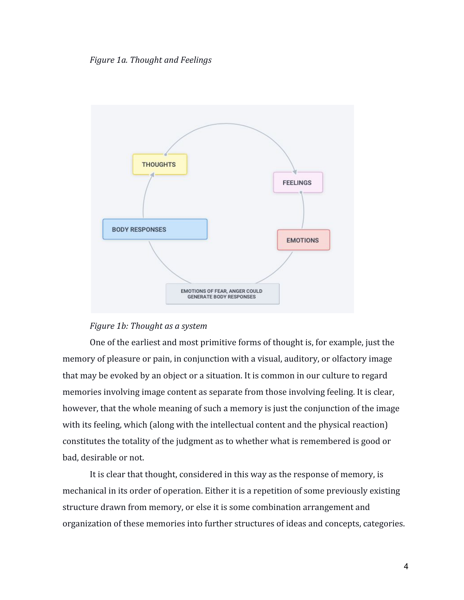*Figure 1a. Thought and Feelings*





One of the earliest and most primitive forms of thought is, for example, just the memory of pleasure or pain, in conjunction with a visual, auditory, or olfactory image that may be evoked by an object or a situation. It is common in our culture to regard memories involving image content as separate from those involving feeling. It is clear, however, that the whole meaning of such a memory is just the conjunction of the image with its feeling, which (along with the intellectual content and the physical reaction) constitutes the totality of the judgment as to whether what is remembered is good or bad, desirable or not.

It is clear that thought, considered in this way as the response of memory, is mechanical in its order of operation. Either it is a repetition of some previously existing structure drawn from memory, or else it is some combination arrangement and organization of these memories into further structures of ideas and concepts, categories.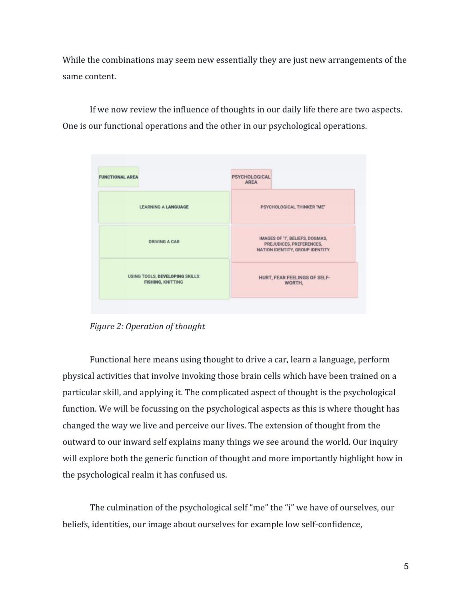While the combinations may seem new essentially they are just new arrangements of the same content.

If we now review the influence of thoughts in our daily life there are two aspects. One is our functional operations and the other in our psychological operations.



*Figure 2: Operation of thought*

Functional here means using thought to drive a car, learn a language, perform physical activities that involve invoking those brain cells which have been trained on a particular skill, and applying it. The complicated aspect of thought is the psychological function. We will be focussing on the psychological aspects as this is where thought has changed the way we live and perceive our lives. The extension of thought from the outward to our inward self explains many things we see around the world. Our inquiry will explore both the generic function of thought and more importantly highlight how in the psychological realm it has confused us.

The culmination of the psychological self "me" the "i" we have of ourselves, our beliefs, identities, our image about ourselves for example low self-confidence,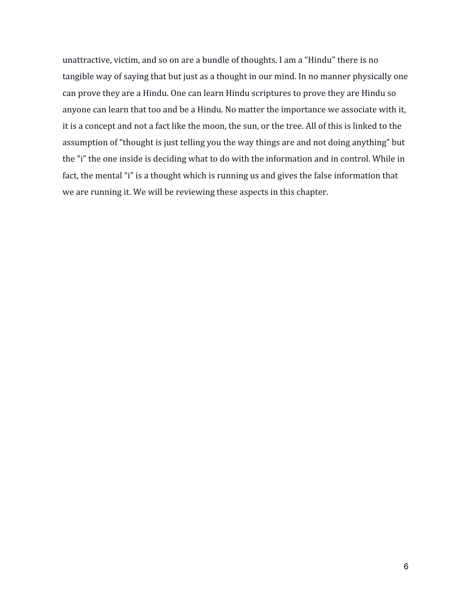unattractive, victim, and so on are a bundle of thoughts. I am a "Hindu" there is no tangible way of saying that but just as a thought in our mind. In no manner physically one can prove they are a Hindu. One can learn Hindu scriptures to prove they are Hindu so anyone can learn that too and be a Hindu. No matter the importance we associate with it, it is a concept and not a fact like the moon, the sun, or the tree. All of this is linked to the assumption of "thought is just telling you the way things are and not doing anything" but the "i" the one inside is deciding what to do with the information and in control. While in fact, the mental "i" is a thought which is running us and gives the false information that we are running it. We will be reviewing these aspects in this chapter.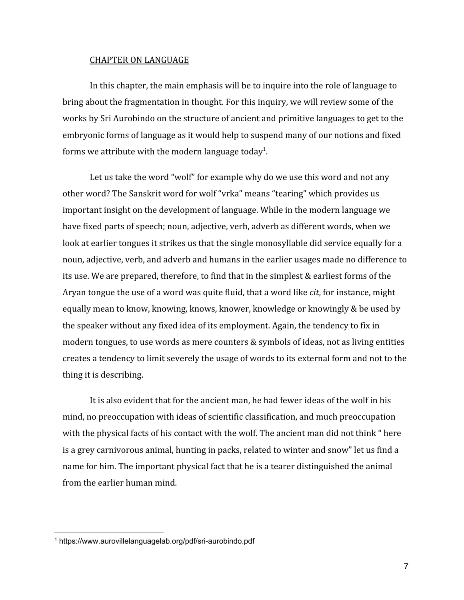## CHAPTER ON LANGUAGE

In this chapter, the main emphasis will be to inquire into the role of language to bring about the fragmentation in thought. For this inquiry, we will review some of the works by Sri Aurobindo on the structure of ancient and primitive languages to get to the embryonic forms of language as it would help to suspend many of our notions and fixed forms we attribute with the modern language today $^{\rm 1}$ .

Let us take the word "wolf" for example why do we use this word and not any other word? The Sanskrit word for wolf "vrka" means "tearing" which provides us important insight on the development of language. While in the modern language we have fixed parts of speech; noun, adjective, verb, adverb as different words, when we look at earlier tongues it strikes us that the single monosyllable did service equally for a noun, adjective, verb, and adverb and humans in the earlier usages made no difference to its use. We are prepared, therefore, to find that in the simplest & earliest forms of the Aryan tongue the use of a word was quite fluid, that a word like *cit*, for instance, might equally mean to know, knowing, knows, knower, knowledge or knowingly & be used by the speaker without any fixed idea of its employment. Again, the tendency to fix in modern tongues, to use words as mere counters & symbols of ideas, not as living entities creates a tendency to limit severely the usage of words to its external form and not to the thing it is describing.

It is also evident that for the ancient man, he had fewer ideas of the wolf in his mind, no preoccupation with ideas of scientific classification, and much preoccupation with the physical facts of his contact with the wolf. The ancient man did not think " here is a grey carnivorous animal, hunting in packs, related to winter and snow" let us find a name for him. The important physical fact that he is a tearer distinguished the animal from the earlier human mind.

<sup>1</sup> https://www.aurovillelanguagelab.org/pdf/sri-aurobindo.pdf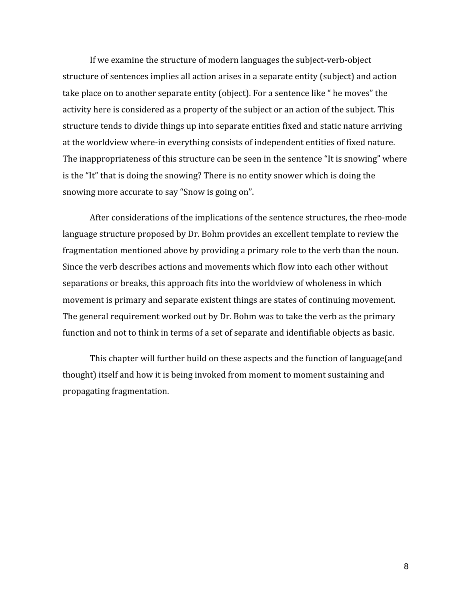If we examine the structure of modern languages the subject-verb-object structure of sentences implies all action arises in a separate entity (subject) and action take place on to another separate entity (object). For a sentence like " he moves" the activity here is considered as a property of the subject or an action of the subject. This structure tends to divide things up into separate entities fixed and static nature arriving at the worldview where-in everything consists of independent entities of fixed nature. The inappropriateness of this structure can be seen in the sentence "It is snowing" where is the "It" that is doing the snowing? There is no entity snower which is doing the snowing more accurate to say "Snow is going on".

After considerations of the implications of the sentence structures, the rheo-mode language structure proposed by Dr. Bohm provides an excellent template to review the fragmentation mentioned above by providing a primary role to the verb than the noun. Since the verb describes actions and movements which flow into each other without separations or breaks, this approach fits into the worldview of wholeness in which movement is primary and separate existent things are states of continuing movement. The general requirement worked out by Dr. Bohm was to take the verb as the primary function and not to think in terms of a set of separate and identifiable objects as basic.

This chapter will further build on these aspects and the function of language(and thought) itself and how it is being invoked from moment to moment sustaining and propagating fragmentation.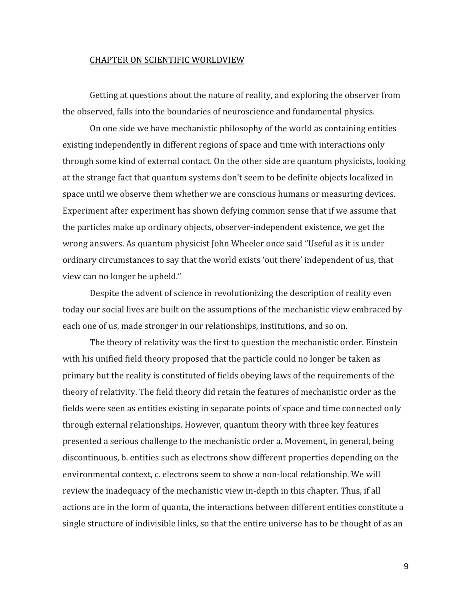## CHAPTER ON SCIENTIFIC WORLDVIEW

Getting at questions about the nature of reality, and exploring the observer from the observed, falls into the boundaries of neuroscience and fundamental physics.

On one side we have mechanistic philosophy of the world as containing entities existing independently in different regions of space and time with interactions only through some kind of external contact. On the other side are quantum physicists, looking at the strange fact that quantum systems don't seem to be definite objects localized in space until we observe them whether we are conscious humans or measuring devices. Experiment after experiment has shown defying common sense that if we assume that the particles make up ordinary objects, observer-independent existence, we get the wrong answers. As quantum physicist John Wheeler once said "Useful as it is under ordinary circumstances to say that the world exists 'out there' independent of us, that view can no longer be upheld."

Despite the advent of science in revolutionizing the description of reality even today our social lives are built on the assumptions of the mechanistic view embraced by each one of us, made stronger in our relationships, institutions, and so on.

The theory of relativity was the first to question the mechanistic order. Einstein with his unified field theory proposed that the particle could no longer be taken as primary but the reality is constituted of fields obeying laws of the requirements of the theory of relativity. The field theory did retain the features of mechanistic order as the fields were seen as entities existing in separate points of space and time connected only through external relationships. However, quantum theory with three key features presented a serious challenge to the mechanistic order a. Movement, in general, being discontinuous, b. entities such as electrons show different properties depending on the environmental context, c. electrons seem to show a non-local relationship. We will review the inadequacy of the mechanistic view in-depth in this chapter. Thus, if all actions are in the form of quanta, the interactions between different entities constitute a single structure of indivisible links, so that the entire universe has to be thought of as an